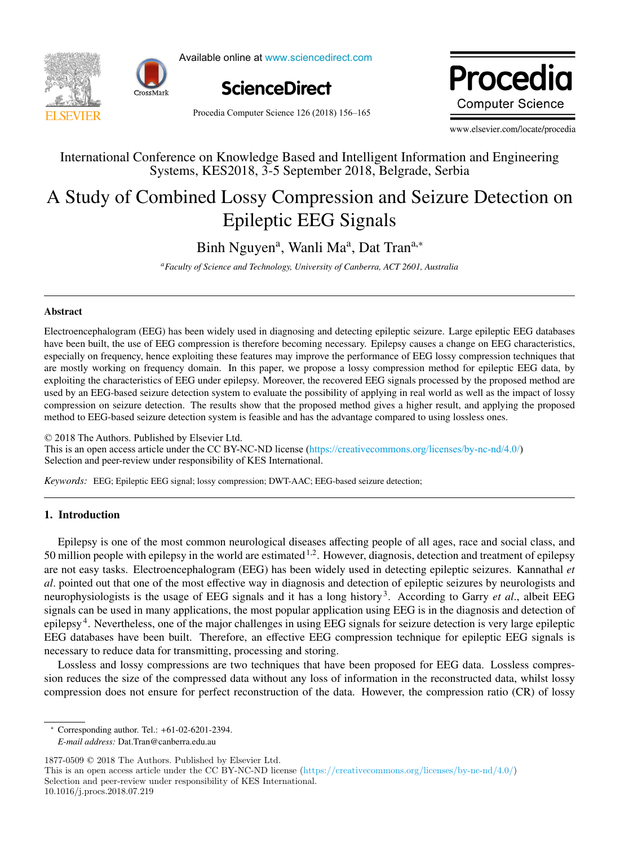



Available online at www.sciencedirect.com Available online at www.sciencedirect.com Available online at www.sciencedirect.com



Procedia Computer Science 126 (2018) 156-165 Procedia Computer Science 00 (2018) 000–000 Procedia **Computer Science** 

www.elsevier.com/locate/procedia  $\frac{1}{2}$  we have  $\frac{1}{2}$  and  $\frac{1}{2}$  and  $\frac{1}{2}$  and  $\frac{1}{2}$  and  $\frac{1}{2}$  and  $\frac{1}{2}$  and  $\frac{1}{2}$  and  $\frac{1}{2}$  and  $\frac{1}{2}$  and  $\frac{1}{2}$  and  $\frac{1}{2}$  and  $\frac{1}{2}$  and  $\frac{1}{2}$  and  $\frac{1}{2}$  and  $\frac{1}{2$ 

# International Conference on Knowledge Based and Intelligent Information and Engineering Systems, KES2018, 3-5 September 2018, Belgrade, Serbia International Conference on Knowledge Based and Intelligent Information and Engineering

# A Study of Combined Lossy Compression and Seizure Detection on Epileptic EEG Signals A Study of Combined Lossy Compression and Seizure Detection on Epileptic EEG Signals

Binh Nguyen<sup>a</sup> , Wanli Ma<sup>a</sup> , Dat Trana,<sup>∗</sup> Binh Nguyen<sup>a</sup>, Wanli Ma<sup>a</sup>, Dat Tran<sup>a,∗</sup>

*aFaculty of Science and Technology, University of Canberra, ACT 2601, Australia* a<br>Faculty of Science and Technology, University of Canberra, ACT 2601, Australia

# Abstract

have been built, the use of EEG compression is therefore becoming necessary. Epilepsy causes a change on EEG characteristics, especially on frequency, hence exploiting these features may improve the performance of EEG lossy compression techniques that are mostly working on frequency domain. In this paper, we propose a lossy compression method for epileptic EEG data, by exploiting the characteristics of EEG under epilepsy. Moreover, the recovered EEG signals processed by the proposed method are exploiting the characteristics of EEG under epilepsy. Moreover, the recovered EEG signals proce used by an EEG-based seizure detection system to evaluate the possibility of applying in real world as well as the impact of lossy compression on seizure detection. The results show that the proposed method gives a higher result, and applying the proposed method to EEG-based seizure detection system is feasible and has the advantage compared to using lossless ones. method to EEG-based seizure detection system is feasible and has the advantage compared to using lossless ones. Electroencephalogram (EEG) has been widely used in diagnosing and detecting epileptic seizure. Large epileptic EEG databases method to EEG-based seizure detection system is feasible and has the advantage compared to using lossless ones.

2018 The Authors. Published by Elsevier Ltd. This is an open access article under the CC BY-NC-ND license ([https://creativecommons.org/licenses/by-nc-nd/4.0/\)](https://creativecommons.org/licenses/by-nc-nd/4.0/) Selection and peer-review under responsibility of KES International.  $\heartsuit$  2018 The Authors. Published by Eisevier Ltd.

*Keywords:* EEG; Epileptic EEG signal; lossy compression; DWT-AAC; EEG-based seizure detection;

#### 1. Introduction 1. Introduction

Epilepsy is one of the most common neurological diseases affecting people of all ages, race and social class, and 50 million people with epilepsy in the world are estimated  $1.2$ . However, diagnosis, detection and treatment of epilepsy are not easy tasks. Electroencephalogram (EEG) has been widely used in detecting epileptic seizures. Kannathal et al. pointed out that one of the most effective way in diagnosis and detection of epileptic seizures by neurologists and neurophysiologists is the usage of EEG signals and it has a long history<sup>3</sup>. According to Garry et al., albeit EEG signals can be used in many applications, the most popular application using EEG is in the diagnosis and detection of epilepsy<sup>4</sup>. Nevertheless, one of the major challenges in using EEG signals for seizure detection is very large epileptic EEG databases have been built. Therefore, an effective EEG compression technique for epileptic EEG signals is necessary to reduce data for transmitting, processing and storing. Epilepsy is one of the most common neurological diseases affecting people of all ages, race and social class, and 50 million people of all ages, race and social class, and social class, and treatment of epilepsy is one of the most common neurological diseases affecting people of all ages, race and social class, and

Lossless and lossy compressions are two techniques that have been proposed for EEG data. Lossless compression reduces the size of the compressed data without any loss of information in the reconstructed data, whilst lossy compression does not ensure for perfect reconstruction of the data. However, the compression ratio (CR) of lossy compression does not ensure for perfect reconstruction of the data. However, the compression ratio (CR) of lossy

∗ Corresponding author. Tel.: +61-02-6201-2394. ∗ Corresponding author. Tel.: +61-02-6201-2394. *Corresponding author.* Tel.: +61-02-6201-2

1877-0509 © 2018 The Authors. Published by Elsevier Ltd.<br>This is an enem assess article under the CC BV NC ND lies  $1877-0509$   $\odot$  2018 The Authors. Published by Elsevier

10.1016/j.procs.2018.07.219

*E-mail address:* Dat.Tran@canberra.edu.au

This is an open access article under the CC BY-NC-ND license (https://creativecommons.org/licenses/by-nc-nd/4.0/) Selection and peer-review under responsibility of KES International.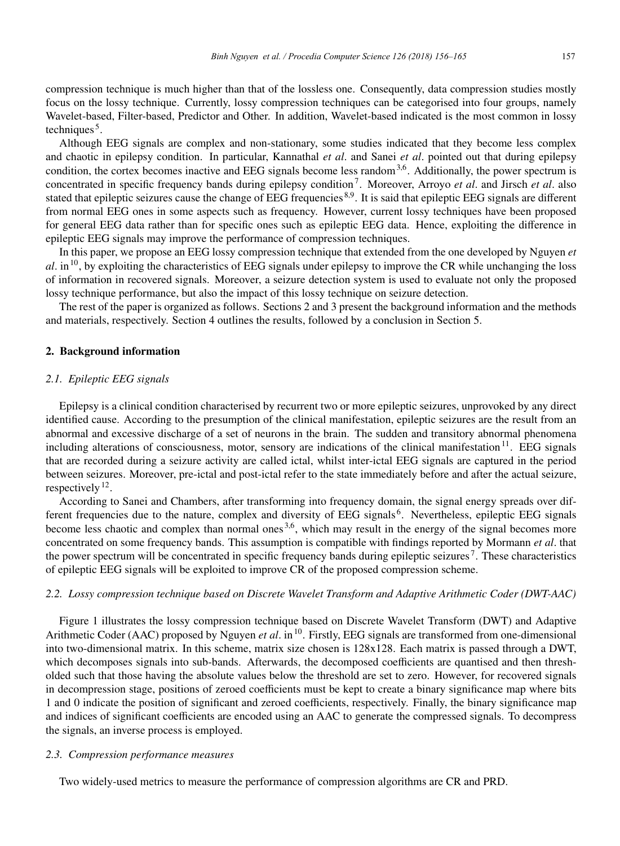compression technique is much higher than that of the lossless one. Consequently, data compression studies mostly focus on the lossy technique. Currently, lossy compression techniques can be categorised into four groups, namely Wavelet-based, Filter-based, Predictor and Other. In addition, Wavelet-based indicated is the most common in lossy techniques<sup> $5$ </sup>.

Although EEG signals are complex and non-stationary, some studies indicated that they become less complex and chaotic in epilepsy condition. In particular, Kannathal *et al*. and Sanei *et al*. pointed out that during epilepsy condition, the cortex becomes inactive and EEG signals become less random<sup>3,6</sup>. Additionally, the power spectrum is concentrated in specific frequency bands during epilepsy condition<sup>7</sup>. Moreover, Arroyo *et al.* and Jirsch *et al.* also stated that epileptic seizures cause the change of EEG frequencies 8,9. It is said that epileptic EEG signals are different from normal EEG ones in some aspects such as frequency. However, current lossy techniques have been proposed for general EEG data rather than for specific ones such as epileptic EEG data. Hence, exploiting the difference in epileptic EEG signals may improve the performance of compression techniques.

In this paper, we propose an EEG lossy compression technique that extended from the one developed by Nguyen *et*  $a$ . in<sup>10</sup>, by exploiting the characteristics of EEG signals under epilepsy to improve the CR while unchanging the loss of information in recovered signals. Moreover, a seizure detection system is used to evaluate not only the proposed lossy technique performance, but also the impact of this lossy technique on seizure detection.

The rest of the paper is organized as follows. Sections 2 and 3 present the background information and the methods and materials, respectively. Section 4 outlines the results, followed by a conclusion in Section 5.

### 2. Background information

# *2.1. Epileptic EEG signals*

Epilepsy is a clinical condition characterised by recurrent two or more epileptic seizures, unprovoked by any direct identified cause. According to the presumption of the clinical manifestation, epileptic seizures are the result from an abnormal and excessive discharge of a set of neurons in the brain. The sudden and transitory abnormal phenomena including alterations of consciousness, motor, sensory are indications of the clinical manifestation<sup>11</sup>. EEG signals that are recorded during a seizure activity are called ictal, whilst inter-ictal EEG signals are captured in the period between seizures. Moreover, pre-ictal and post-ictal refer to the state immediately before and after the actual seizure, respectively  $^{12}$ .

According to Sanei and Chambers, after transforming into frequency domain, the signal energy spreads over different frequencies due to the nature, complex and diversity of EEG signals 6. Nevertheless, epileptic EEG signals become less chaotic and complex than normal ones  $3.6$ , which may result in the energy of the signal becomes more concentrated on some frequency bands. This assumption is compatible with findings reported by Mormann *et al*. that the power spectrum will be concentrated in specific frequency bands during epileptic seizures<sup>7</sup>. These characteristics of epileptic EEG signals will be exploited to improve CR of the proposed compression scheme.

# *2.2. Lossy compression technique based on Discrete Wavelet Transform and Adaptive Arithmetic Coder (DWT-AAC)*

Figure 1 illustrates the lossy compression technique based on Discrete Wavelet Transform (DWT) and Adaptive Arithmetic Coder (AAC) proposed by Nguyen *et al.* in<sup>10</sup>. Firstly, EEG signals are transformed from one-dimensional into two-dimensional matrix. In this scheme, matrix size chosen is 128x128. Each matrix is passed through a DWT, which decomposes signals into sub-bands. Afterwards, the decomposed coefficients are quantised and then thresholded such that those having the absolute values below the threshold are set to zero. However, for recovered signals in decompression stage, positions of zeroed coefficients must be kept to create a binary significance map where bits 1 and 0 indicate the position of significant and zeroed coefficients, respectively. Finally, the binary significance map and indices of significant coefficients are encoded using an AAC to generate the compressed signals. To decompress the signals, an inverse process is employed.

# *2.3. Compression performance measures*

Two widely-used metrics to measure the performance of compression algorithms are CR and PRD.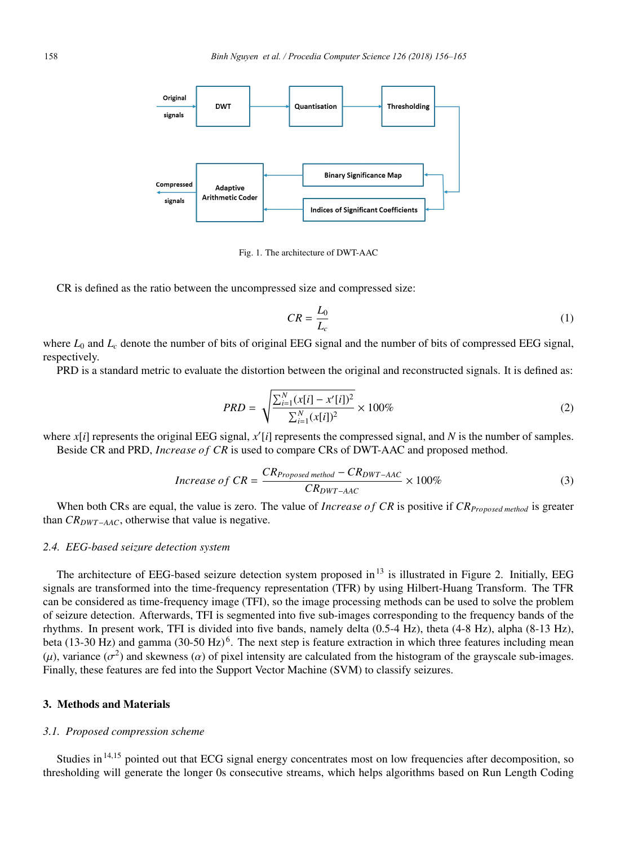

Fig. 1. The architecture of DWT-AAC

CR is defined as the ratio between the uncompressed size and compressed size:

$$
CR = \frac{L_0}{L_c} \tag{1}
$$

where  $L_0$  and  $L_c$  denote the number of bits of original EEG signal and the number of bits of compressed EEG signal, respectively.

PRD is a standard metric to evaluate the distortion between the original and reconstructed signals. It is defined as:

$$
PRD = \sqrt{\frac{\sum_{i=1}^{N} (x[i] - x'[i])^2}{\sum_{i=1}^{N} (x[i])^2}} \times 100\%
$$
\n(2)

where *x*[*i*] represents the original EEG signal, *x* [*i*] represents the compressed signal, and *N* is the number of samples. Beside CR and PRD, *Increase of CR* is used to compare CRs of DWT-AAC and proposed method.

$$
Increase\ of\ CR = \frac{CR_{Proposed\ method} - CR_{DWT-AAC}}{CR_{DWT-AAC}} \times 100\%
$$
\n(3)

When both CRs are equal, the value is zero. The value of *Increase of CR* is positive if *CR*<sub>Proposed method is greater</sub> than *CRDWT*−*AAC*, otherwise that value is negative.

# *2.4. EEG-based seizure detection system*

The architecture of EEG-based seizure detection system proposed in<sup>13</sup> is illustrated in Figure 2. Initially, EEG signals are transformed into the time-frequency representation (TFR) by using Hilbert-Huang Transform. The TFR can be considered as time-frequency image (TFI), so the image processing methods can be used to solve the problem of seizure detection. Afterwards, TFI is segmented into five sub-images corresponding to the frequency bands of the rhythms. In present work, TFI is divided into five bands, namely delta (0.5-4 Hz), theta (4-8 Hz), alpha (8-13 Hz), beta (13-30 Hz) and gamma (30-50 Hz)<sup>6</sup>. The next step is feature extraction in which three features including mean (μ), variance ( $σ<sup>2</sup>$ ) and skewness ( $α$ ) of pixel intensity are calculated from the histogram of the grayscale sub-images. Finally, these features are fed into the Support Vector Machine (SVM) to classify seizures.

# 3. Methods and Materials

### *3.1. Proposed compression scheme*

Studies in<sup>14,15</sup> pointed out that ECG signal energy concentrates most on low frequencies after decomposition, so thresholding will generate the longer 0s consecutive streams, which helps algorithms based on Run Length Coding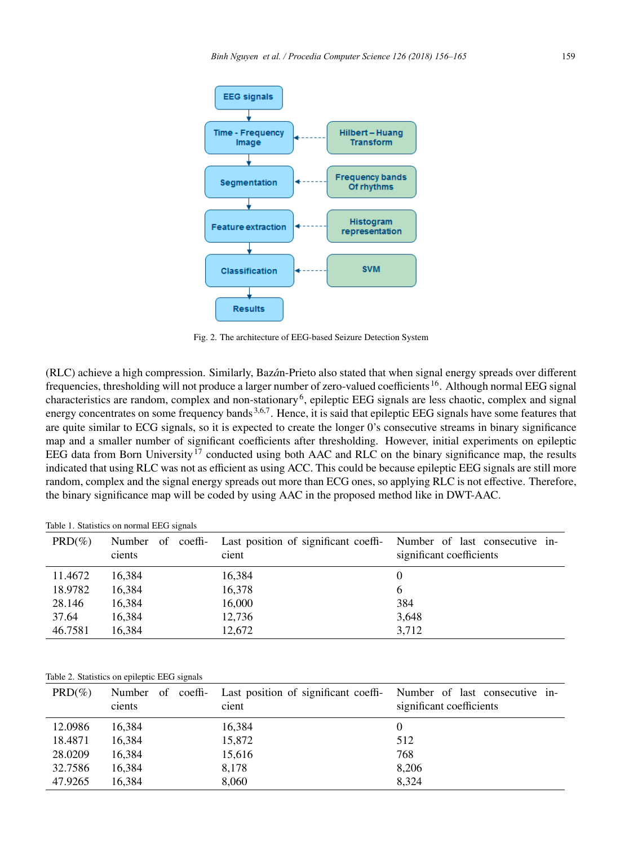

Fig. 2. The architecture of EEG-based Seizure Detection System

(RLC) achieve a high compression. Similarly, Baz´*a*n-Prieto also stated that when signal energy spreads over different frequencies, thresholding will not produce a larger number of zero-valued coefficients 16. Although normal EEG signal characteristics are random, complex and non-stationary<sup>6</sup>, epileptic EEG signals are less chaotic, complex and signal energy concentrates on some frequency bands<sup>3,6,7</sup>. Hence, it is said that epileptic EEG signals have some features that are quite similar to ECG signals, so it is expected to create the longer 0's consecutive streams in binary significance map and a smaller number of significant coefficients after thresholding. However, initial experiments on epileptic EEG data from Born University<sup>17</sup> conducted using both AAC and RLC on the binary significance map, the results indicated that using RLC was not as efficient as using ACC. This could be because epileptic EEG signals are still more random, complex and the signal energy spreads out more than ECG ones, so applying RLC is not effective. Therefore, the binary significance map will be coded by using AAC in the proposed method like in DWT-AAC.

#### Table 1. Statistics on normal EEG signals

| $PRD(\%)$ | Number of coeffi-<br>cients | Last position of significant coeffi- Number of last consecutive in-<br>cient | significant coefficients |
|-----------|-----------------------------|------------------------------------------------------------------------------|--------------------------|
| 11.4672   | 16.384                      | 16,384                                                                       |                          |
| 18.9782   | 16,384                      | 16,378                                                                       | $\mathbf{a}$             |
| 28.146    | 16,384                      | 16,000                                                                       | 384                      |
| 37.64     | 16,384                      | 12,736                                                                       | 3,648                    |
| 46.7581   | 16,384                      | 12,672                                                                       | 3.712                    |

#### Table 2. Statistics on epileptic EEG signals

| $PRD(\%)$ | Number of coeffi-<br>cients | Last position of significant coeffi- Number of last consecutive in-<br>cient | significant coefficients |
|-----------|-----------------------------|------------------------------------------------------------------------------|--------------------------|
| 12.0986   | 16,384                      | 16,384                                                                       |                          |
| 18.4871   | 16,384                      | 15,872                                                                       | 512                      |
| 28.0209   | 16,384                      | 15,616                                                                       | 768                      |
| 32.7586   | 16,384                      | 8,178                                                                        | 8,206                    |
| 47.9265   | 16.384                      | 8,060                                                                        | 8.324                    |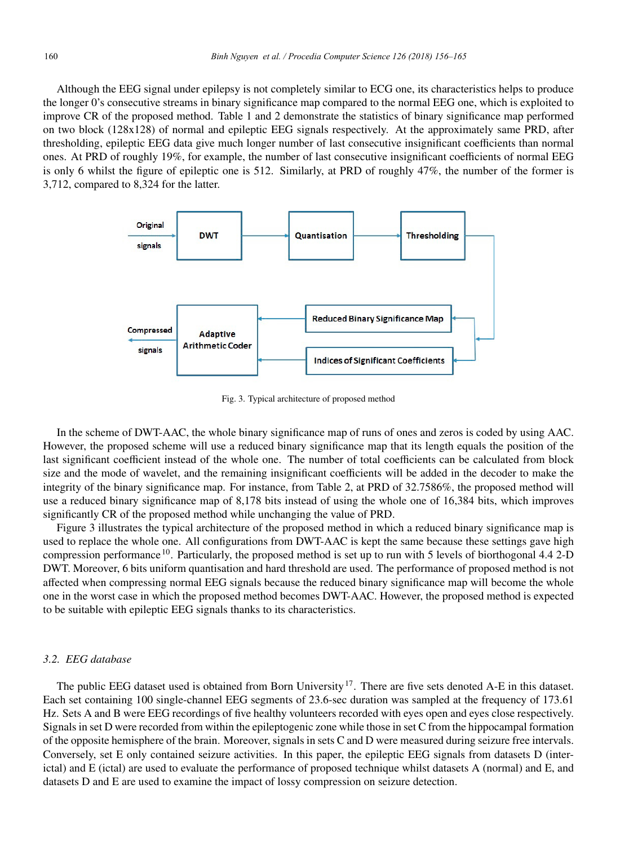Although the EEG signal under epilepsy is not completely similar to ECG one, its characteristics helps to produce the longer 0's consecutive streams in binary significance map compared to the normal EEG one, which is exploited to improve CR of the proposed method. Table 1 and 2 demonstrate the statistics of binary significance map performed on two block (128x128) of normal and epileptic EEG signals respectively. At the approximately same PRD, after thresholding, epileptic EEG data give much longer number of last consecutive insignificant coefficients than normal ones. At PRD of roughly 19%, for example, the number of last consecutive insignificant coefficients of normal EEG is only 6 whilst the figure of epileptic one is 512. Similarly, at PRD of roughly 47%, the number of the former is 3,712, compared to 8,324 for the latter.



Fig. 3. Typical architecture of proposed method

In the scheme of DWT-AAC, the whole binary significance map of runs of ones and zeros is coded by using AAC. However, the proposed scheme will use a reduced binary significance map that its length equals the position of the last significant coefficient instead of the whole one. The number of total coefficients can be calculated from block size and the mode of wavelet, and the remaining insignificant coefficients will be added in the decoder to make the integrity of the binary significance map. For instance, from Table 2, at PRD of 32.7586%, the proposed method will use a reduced binary significance map of 8,178 bits instead of using the whole one of 16,384 bits, which improves significantly CR of the proposed method while unchanging the value of PRD.

Figure 3 illustrates the typical architecture of the proposed method in which a reduced binary significance map is used to replace the whole one. All configurations from DWT-AAC is kept the same because these settings gave high compression performance 10. Particularly, the proposed method is set up to run with 5 levels of biorthogonal 4.4 2-D DWT. Moreover, 6 bits uniform quantisation and hard threshold are used. The performance of proposed method is not affected when compressing normal EEG signals because the reduced binary significance map will become the whole one in the worst case in which the proposed method becomes DWT-AAC. However, the proposed method is expected to be suitable with epileptic EEG signals thanks to its characteristics.

# *3.2. EEG database*

The public EEG dataset used is obtained from Born University<sup>17</sup>. There are five sets denoted A-E in this dataset. Each set containing 100 single-channel EEG segments of 23.6-sec duration was sampled at the frequency of 173.61 Hz. Sets A and B were EEG recordings of five healthy volunteers recorded with eyes open and eyes close respectively. Signals in set D were recorded from within the epileptogenic zone while those in set C from the hippocampal formation of the opposite hemisphere of the brain. Moreover, signals in sets C and D were measured during seizure free intervals. Conversely, set E only contained seizure activities. In this paper, the epileptic EEG signals from datasets D (interictal) and E (ictal) are used to evaluate the performance of proposed technique whilst datasets A (normal) and E, and datasets D and E are used to examine the impact of lossy compression on seizure detection.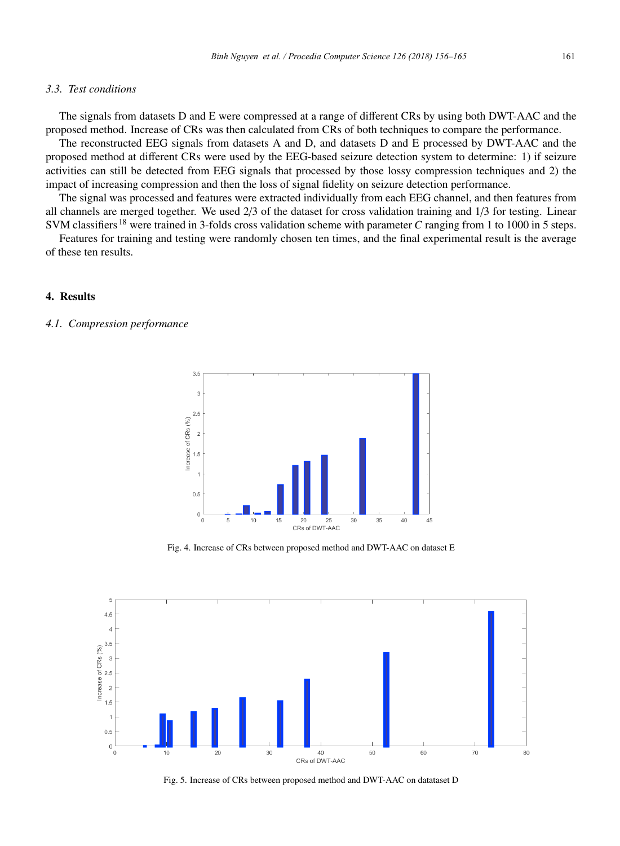# *3.3. Test conditions*

The signals from datasets D and E were compressed at a range of different CRs by using both DWT-AAC and the proposed method. Increase of CRs was then calculated from CRs of both techniques to compare the performance.

The reconstructed EEG signals from datasets A and D, and datasets D and E processed by DWT-AAC and the proposed method at different CRs were used by the EEG-based seizure detection system to determine: 1) if seizure activities can still be detected from EEG signals that processed by those lossy compression techniques and 2) the impact of increasing compression and then the loss of signal fidelity on seizure detection performance.

The signal was processed and features were extracted individually from each EEG channel, and then features from all channels are merged together. We used 2/3 of the dataset for cross validation training and 1/3 for testing. Linear SVM classifiers <sup>18</sup> were trained in 3-folds cross validation scheme with parameter *C* ranging from 1 to 1000 in 5 steps.

Features for training and testing were randomly chosen ten times, and the final experimental result is the average of these ten results.

### 4. Results

# *4.1. Compression performance*



Fig. 4. Increase of CRs between proposed method and DWT-AAC on dataset E



Fig. 5. Increase of CRs between proposed method and DWT-AAC on datataset D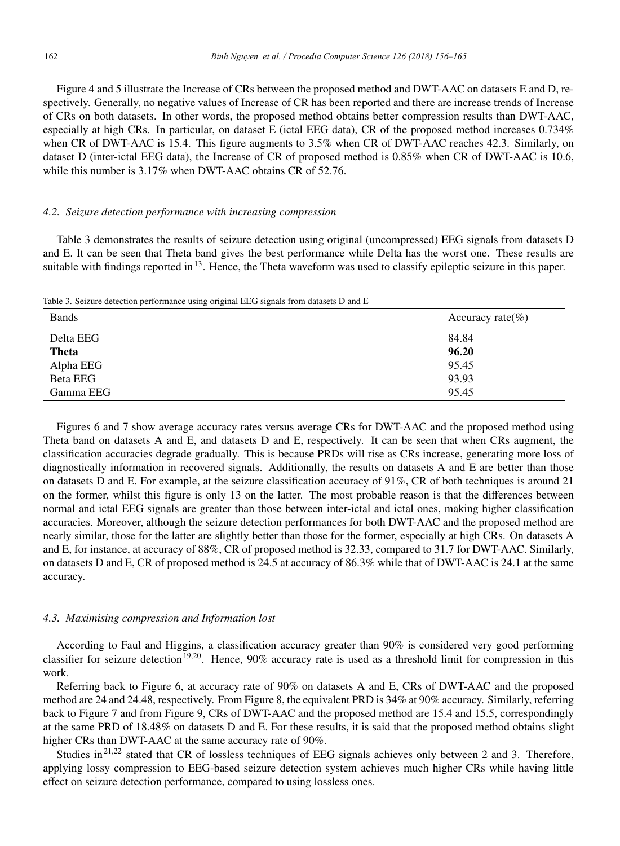Figure 4 and 5 illustrate the Increase of CRs between the proposed method and DWT-AAC on datasets E and D, respectively. Generally, no negative values of Increase of CR has been reported and there are increase trends of Increase of CRs on both datasets. In other words, the proposed method obtains better compression results than DWT-AAC, especially at high CRs. In particular, on dataset E (ictal EEG data), CR of the proposed method increases  $0.734\%$ when CR of DWT-AAC is 15.4. This figure augments to 3.5% when CR of DWT-AAC reaches 42.3. Similarly, on dataset D (inter-ictal EEG data), the Increase of CR of proposed method is 0.85% when CR of DWT-AAC is 10.6, while this number is 3.17% when DWT-AAC obtains CR of 52.76.

# *4.2. Seizure detection performance with increasing compression*

Table 3 demonstrates the results of seizure detection using original (uncompressed) EEG signals from datasets D and E. It can be seen that Theta band gives the best performance while Delta has the worst one. These results are suitable with findings reported in  $13$ . Hence, the Theta waveform was used to classify epileptic seizure in this paper.

Table 3. Seizure detection performance using original EEG signals from datasets D and E

| <b>Bands</b>    | Accuracy rate $(\% )$ |
|-----------------|-----------------------|
| Delta EEG       | 84.84                 |
| Theta           | 96.20                 |
| Alpha EEG       | 95.45                 |
| <b>Beta EEG</b> | 93.93                 |
| Gamma EEG       | 95.45                 |

Figures 6 and 7 show average accuracy rates versus average CRs for DWT-AAC and the proposed method using Theta band on datasets A and E, and datasets D and E, respectively. It can be seen that when CRs augment, the classification accuracies degrade gradually. This is because PRDs will rise as CRs increase, generating more loss of diagnostically information in recovered signals. Additionally, the results on datasets A and E are better than those on datasets D and E. For example, at the seizure classification accuracy of 91%, CR of both techniques is around 21 on the former, whilst this figure is only 13 on the latter. The most probable reason is that the differences between normal and ictal EEG signals are greater than those between inter-ictal and ictal ones, making higher classification accuracies. Moreover, although the seizure detection performances for both DWT-AAC and the proposed method are nearly similar, those for the latter are slightly better than those for the former, especially at high CRs. On datasets A and E, for instance, at accuracy of 88%, CR of proposed method is 32.33, compared to 31.7 for DWT-AAC. Similarly, on datasets D and E, CR of proposed method is 24.5 at accuracy of 86.3% while that of DWT-AAC is 24.1 at the same accuracy.

# *4.3. Maximising compression and Information lost*

According to Faul and Higgins, a classification accuracy greater than 90% is considered very good performing classifier for seizure detection<sup>19,20</sup>. Hence, 90% accuracy rate is used as a threshold limit for compression in this work.

Referring back to Figure 6, at accuracy rate of 90% on datasets A and E, CRs of DWT-AAC and the proposed method are 24 and 24.48, respectively. From Figure 8, the equivalent PRD is 34% at 90% accuracy. Similarly, referring back to Figure 7 and from Figure 9, CRs of DWT-AAC and the proposed method are 15.4 and 15.5, correspondingly at the same PRD of 18.48% on datasets D and E. For these results, it is said that the proposed method obtains slight higher CRs than DWT-AAC at the same accuracy rate of 90%.

Studies in<sup>21,22</sup> stated that CR of lossless techniques of EEG signals achieves only between 2 and 3. Therefore, applying lossy compression to EEG-based seizure detection system achieves much higher CRs while having little effect on seizure detection performance, compared to using lossless ones.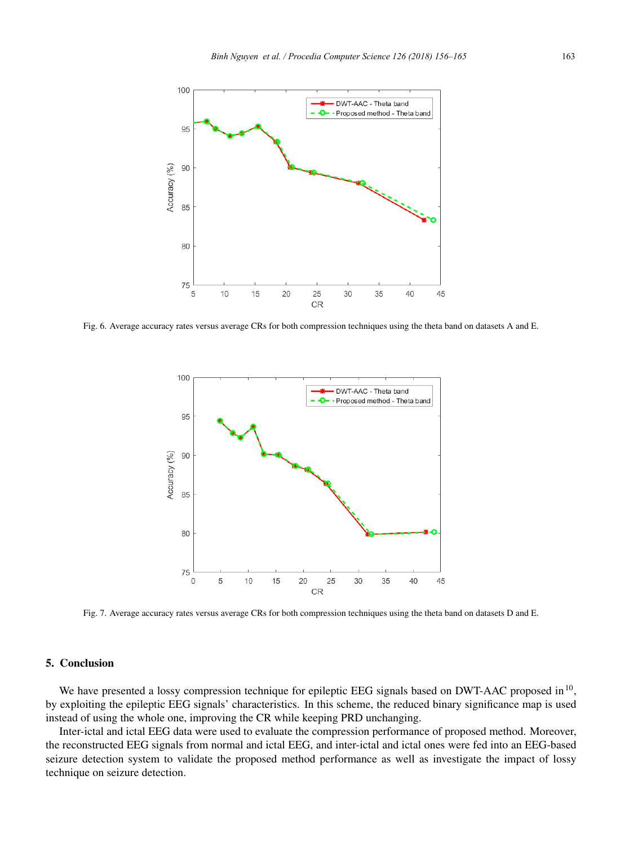

Fig. 6. Average accuracy rates versus average CRs for both compression techniques using the theta band on datasets A and E.



Fig. 7. Average accuracy rates versus average CRs for both compression techniques using the theta band on datasets D and E.

# 5. Conclusion

We have presented a lossy compression technique for epileptic EEG signals based on DWT-AAC proposed in<sup>10</sup>, by exploiting the epileptic EEG signals' characteristics. In this scheme, the reduced binary significance map is used instead of using the whole one, improving the CR while keeping PRD unchanging.

Inter-ictal and ictal EEG data were used to evaluate the compression performance of proposed method. Moreover, the reconstructed EEG signals from normal and ictal EEG, and inter-ictal and ictal ones were fed into an EEG-based seizure detection system to validate the proposed method performance as well as investigate the impact of lossy technique on seizure detection.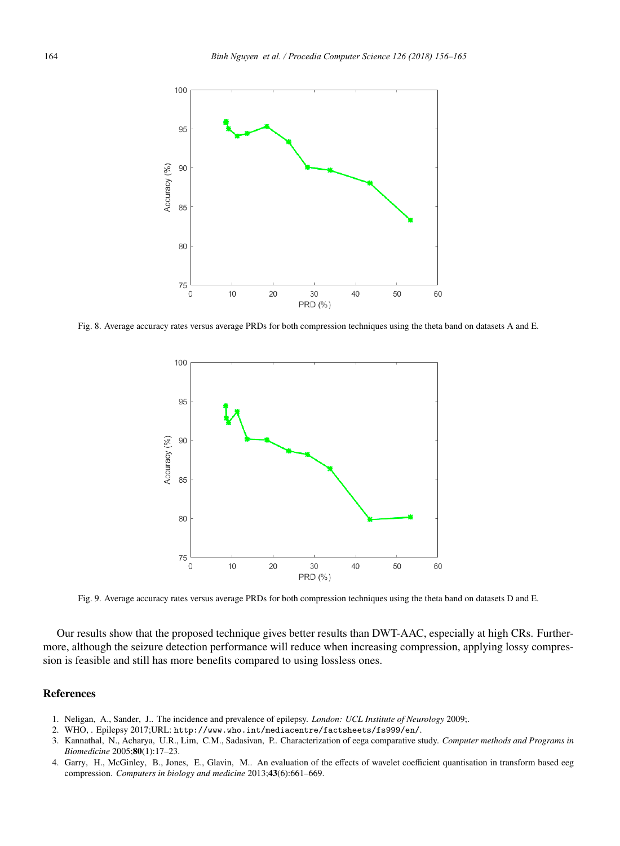

Fig. 8. Average accuracy rates versus average PRDs for both compression techniques using the theta band on datasets A and E.



Fig. 9. Average accuracy rates versus average PRDs for both compression techniques using the theta band on datasets D and E.

Our results show that the proposed technique gives better results than DWT-AAC, especially at high CRs. Furthermore, although the seizure detection performance will reduce when increasing compression, applying lossy compression is feasible and still has more benefits compared to using lossless ones.

# References

- 1. Neligan, A., Sander, J.. The incidence and prevalence of epilepsy. *London: UCL Institute of Neurology* 2009;.
- 2. WHO, . Epilepsy 2017;URL: http://www.who.int/mediacentre/factsheets/fs999/en/.
- 3. Kannathal, N., Acharya, U.R., Lim, C.M., Sadasivan, P.. Characterization of eega comparative study. *Computer methods and Programs in Biomedicine* 2005;80(1):17–23.
- 4. Garry, H., McGinley, B., Jones, E., Glavin, M.. An evaluation of the effects of wavelet coefficient quantisation in transform based eeg compression. *Computers in biology and medicine* 2013;43(6):661–669.